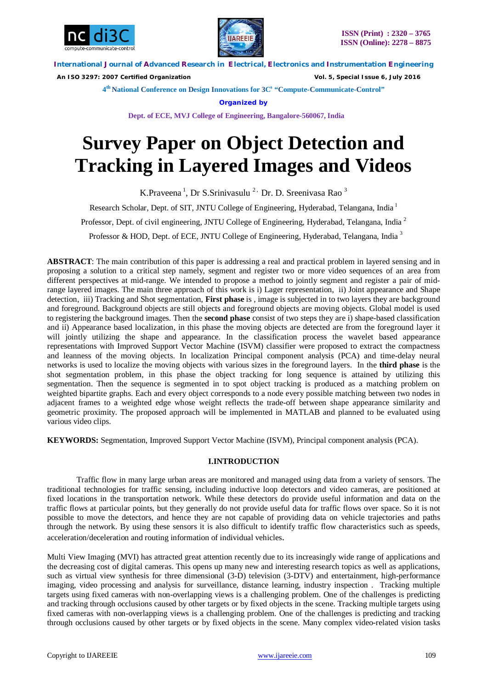



 *An ISO 3297: 2007 Certified Organization Vol. 5, Special Issue 6, July 2016*

**4 th National Conference on Design Innovations for 3C s "Compute-Communicate-Control"** 

**Organized by**

**Dept. of ECE, MVJ College of Engineering, Bangalore-560067, India**

# **Survey Paper on Object Detection and Tracking in Layered Images and Videos**

K.Praveena<sup>1</sup>, Dr S.Srinivasulu<sup>2,</sup> Dr. D. Sreenivasa Rao<sup>3</sup>

Research Scholar, Dept. of SIT, JNTU College of Engineering, Hyderabad, Telangana, India <sup>1</sup>

Professor, Dept. of civil engineering, JNTU College of Engineering, Hyderabad, Telangana, India<sup>2</sup>

Professor & HOD, Dept. of ECE, JNTU College of Engineering, Hyderabad, Telangana, India  $3$ 

**ABSTRACT**: The main contribution of this paper is addressing a real and practical problem in layered sensing and in proposing a solution to a critical step namely, segment and register two or more video sequences of an area from different perspectives at mid-range. We intended to propose a method to jointly segment and register a pair of midrange layered images. The main three approach of this work is i) Lager representation, ii) Joint appearance and Shape detection, iii) Tracking and Shot segmentation, **First phase** is , image is subjected in to two layers they are background and foreground. Background objects are still objects and foreground objects are moving objects. Global model is used to registering the background images. Then the **second phase** consist of two steps they are i) shape-based classification and ii) Appearance based localization, in this phase the moving objects are detected are from the foreground layer it will jointly utilizing the shape and appearance. In the classification process the wavelet based appearance representations with Improved Support Vector Machine (ISVM) classifier were proposed to extract the compactness and leanness of the moving objects. In localization Principal component analysis (PCA) and time-delay neural networks is used to localize the moving objects with various sizes in the foreground layers. In the **third phase** is the shot segmentation problem, in this phase the object tracking for long sequence is attained by utilizing this segmentation. Then the sequence is segmented in to spot object tracking is produced as a matching problem on weighted bipartite graphs. Each and every object corresponds to a node every possible matching between two nodes in adjacent frames to a weighted edge whose weight reflects the trade-off between shape appearance similarity and geometric proximity. The proposed approach will be implemented in MATLAB and planned to be evaluated using various video clips.

**KEYWORDS:** Segmentation, Improved Support Vector Machine (ISVM), Principal component analysis (PCA).

# **I.INTRODUCTION**

Traffic flow in many large urban areas are monitored and managed using data from a variety of sensors. The traditional technologies for traffic sensing, including inductive loop detectors and video cameras, are positioned at fixed locations in the transportation network. While these detectors do provide useful information and data on the traffic flows at particular points, but they generally do not provide useful data for traffic flows over space. So it is not possible to move the detectors, and hence they are not capable of providing data on vehicle trajectories and paths through the network. By using these sensors it is also difficult to identify traffic flow characteristics such as speeds, acceleration/deceleration and routing information of individual vehicles.

Multi View Imaging (MVI) has attracted great attention recently due to its increasingly wide range of applications and the decreasing cost of digital cameras. This opens up many new and interesting research topics as well as applications, such as virtual view synthesis for three dimensional (3-D) television (3-DTV) and entertainment, high-performance imaging, video processing and analysis for surveillance, distance learning, industry inspection . Tracking multiple targets using fixed cameras with non-overlapping views is a challenging problem. One of the challenges is predicting and tracking through occlusions caused by other targets or by fixed objects in the scene. Tracking multiple targets using fixed cameras with non-overlapping views is a challenging problem. One of the challenges is predicting and tracking through occlusions caused by other targets or by fixed objects in the scene. Many complex video-related vision tasks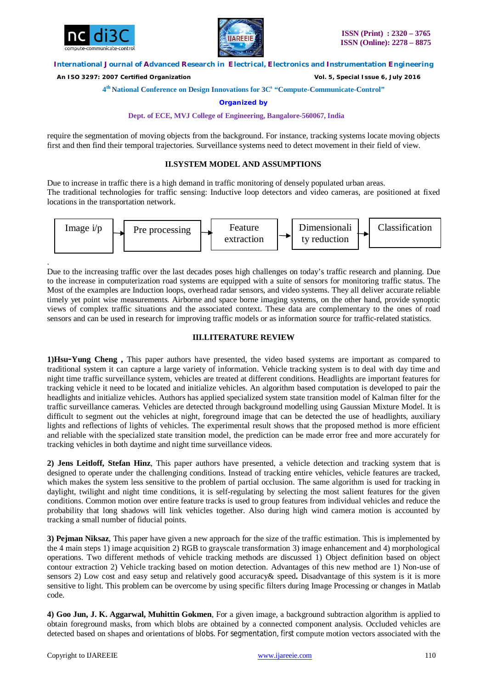

.



# **International Journal of Advanced Research in Electrical, Electronics and Instrumentation Engineering**

 *An ISO 3297: 2007 Certified Organization Vol. 5, Special Issue 6, July 2016*

**4 th National Conference on Design Innovations for 3C s "Compute-Communicate-Control"** 

**Organized by**

**Dept. of ECE, MVJ College of Engineering, Bangalore-560067, India**

require the segmentation of moving objects from the background. For instance, tracking systems locate moving objects first and then find their temporal trajectories. Surveillance systems need to detect movement in their field of view.

# **II.SYSTEM MODEL AND ASSUMPTIONS**

Due to increase in traffic there is a high demand in traffic monitoring of densely populated urban areas. The traditional technologies for traffic sensing: Inductive loop detectors and video cameras, are positioned at fixed locations in the transportation network.



Due to the increasing traffic over the last decades poses high challenges on today's traffic research and planning. Due to the increase in computerization road systems are equipped with a suite of sensors for monitoring traffic status. The Most of the examples are Induction loops, overhead radar sensors, and video systems. They all deliver accurate reliable timely yet point wise measurements. Airborne and space borne imaging systems, on the other hand, provide synoptic views of complex traffic situations and the associated context. These data are complementary to the ones of road sensors and can be used in research for improving traffic models or as information source for traffic-related statistics.

# **III.LITERATURE REVIEW**

**1)Hsu-Yung Cheng ,** This paper authors have presented, the video based systems are important as compared to traditional system it can capture a large variety of information. Vehicle tracking system is to deal with day time and night time traffic surveillance system, vehicles are treated at different conditions. Headlights are important features for tracking vehicle it need to be located and initialize vehicles. An algorithm based computation is developed to pair the headlights and initialize vehicles. Authors has applied specialized system state transition model of Kalman filter for the traffic surveillance cameras. Vehicles are detected through background modelling using Gaussian Mixture Model. It is difficult to segment out the vehicles at night, foreground image that can be detected the use of headlights, auxiliary lights and reflections of lights of vehicles. The experimental result shows that the proposed method is more efficient and reliable with the specialized state transition model, the prediction can be made error free and more accurately for tracking vehicles in both daytime and night time surveillance videos.

**2) Jens Leitloff, Stefan Hinz**, This paper authors have presented, a vehicle detection and tracking system that is designed to operate under the challenging conditions. Instead of tracking entire vehicles, vehicle features are tracked, which makes the system less sensitive to the problem of partial occlusion. The same algorithm is used for tracking in daylight, twilight and night time conditions, it is self-regulating by selecting the most salient features for the given conditions. Common motion over entire feature tracks is used to group features from individual vehicles and reduce the probability that long shadows will link vehicles together. Also during high wind camera motion is accounted by tracking a small number of fiducial points.

**3) Pejman Niksaz**, This paper have given a new approach for the size of the traffic estimation. This is implemented by the 4 main steps 1) image acquisition 2) RGB to grayscale transformation 3) image enhancement and 4) morphological operations. Two different methods of vehicle tracking methods are discussed 1) Object definition based on object contour extraction 2) Vehicle tracking based on motion detection. Advantages of this new method are 1) Non-use of sensors 2) Low cost and easy setup and relatively good accuracy& speed**.** Disadvantage of this system is it is more sensitive to light. This problem can be overcome by using specific filters during Image Processing or changes in Matlab code.

**4) Goo Jun, J. K. Aggarwal, Muhittin Gokmen**, For a given image, a background subtraction algorithm is applied to obtain foreground masks, from which blobs are obtained by a connected component analysis. Occluded vehicles are detected based on shapes and orientations of blobs. For segmentation, first compute motion vectors associated with the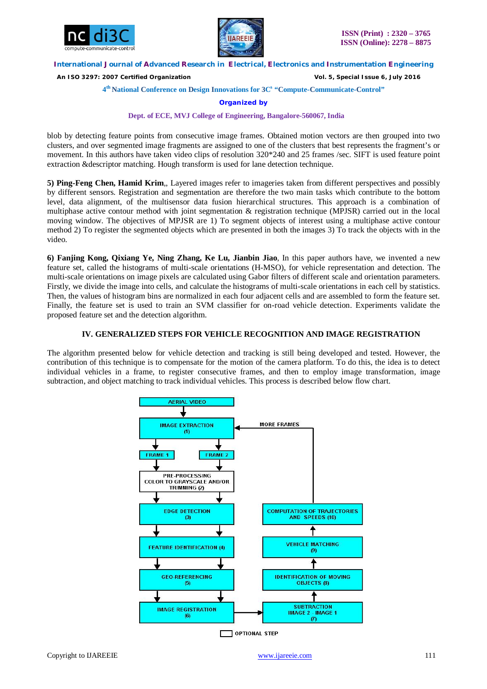



 *An ISO 3297: 2007 Certified Organization Vol. 5, Special Issue 6, July 2016*

**4 th National Conference on Design Innovations for 3C s "Compute-Communicate-Control"** 

# **Organized by**

## **Dept. of ECE, MVJ College of Engineering, Bangalore-560067, India**

blob by detecting feature points from consecutive image frames. Obtained motion vectors are then grouped into two clusters, and over segmented image fragments are assigned to one of the clusters that best represents the fragment's or movement. In this authors have taken video clips of resolution 320\*240 and 25 frames /sec. SIFT is used feature point extraction &descriptor matching. Hough transform is used for lane detection technique.

**5) Ping-Feng Chen, Hamid Krim***,*, Layered images refer to imageries taken from different perspectives and possibly by different sensors. Registration and segmentation are therefore the two main tasks which contribute to the bottom level, data alignment, of the multisensor data fusion hierarchical structures. This approach is a combination of multiphase active contour method with joint segmentation & registration technique (MPJSR) carried out in the local moving window. The objectives of MPJSR are 1) To segment objects of interest using a multiphase active contour method 2) To register the segmented objects which are presented in both the images 3) To track the objects with in the video.

**6) Fanjing Kong, Qixiang Ye, Ning Zhang, Ke Lu, Jianbin Jiao**, In this paper authors have, we invented a new feature set, called the histograms of multi-scale orientations (H-MSO), for vehicle representation and detection. The multi-scale orientations on image pixels are calculated using Gabor filters of different scale and orientation parameters. Firstly, we divide the image into cells, and calculate the histograms of multi-scale orientations in each cell by statistics. Then, the values of histogram bins are normalized in each four adjacent cells and are assembled to form the feature set. Finally, the feature set is used to train an SVM classifier for on-road vehicle detection. Experiments validate the proposed feature set and the detection algorithm.

# **IV. GENERALIZED STEPS FOR VEHICLE RECOGNITION AND IMAGE REGISTRATION**

The algorithm presented below for vehicle detection and tracking is still being developed and tested. However, the contribution of this technique is to compensate for the motion of the camera platform. To do this, the idea is to detect individual vehicles in a frame, to register consecutive frames, and then to employ image transformation, image subtraction, and object matching to track individual vehicles. This process is described below flow chart.

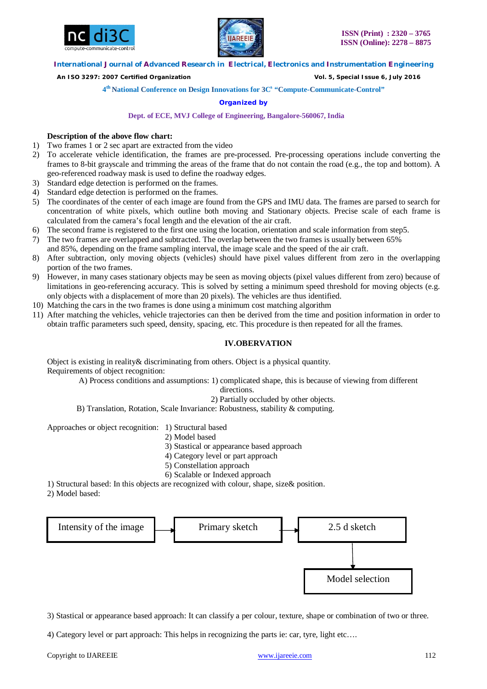



 *An ISO 3297: 2007 Certified Organization Vol. 5, Special Issue 6, July 2016*

**4 th National Conference on Design Innovations for 3C s "Compute-Communicate-Control"** 

# **Organized by**

## **Dept. of ECE, MVJ College of Engineering, Bangalore-560067, India**

# **Description of the above flow chart:**

- 1) Two frames 1 or 2 sec apart are extracted from the video
- 2) To accelerate vehicle identification, the frames are pre-processed. Pre-processing operations include converting the frames to 8-bit grayscale and trimming the areas of the frame that do not contain the road (e.g., the top and bottom). A geo-referenced roadway mask is used to define the roadway edges.
- 3) Standard edge detection is performed on the frames.
- 4) Standard edge detection is performed on the frames.
- 5) The coordinates of the center of each image are found from the GPS and IMU data. The frames are parsed to search for concentration of white pixels, which outline both moving and Stationary objects. Precise scale of each frame is calculated from the camera's focal length and the elevation of the air craft.
- 6) The second frame is registered to the first one using the location, orientation and scale information from step5.
- 7) The two frames are overlapped and subtracted. The overlap between the two frames is usually between 65% and 85%, depending on the frame sampling interval, the image scale and the speed of the air craft.
- 8) After subtraction, only moving objects (vehicles) should have pixel values different from zero in the overlapping portion of the two frames.
- 9) However, in many cases stationary objects may be seen as moving objects (pixel values different from zero) because of limitations in geo-referencing accuracy. This is solved by setting a minimum speed threshold for moving objects (e.g. only objects with a displacement of more than 20 pixels). The vehicles are thus identified.
- 10) Matching the cars in the two frames is done using a minimum cost matching algorithm
- 11) After matching the vehicles, vehicle trajectories can then be derived from the time and position information in order to obtain traffic parameters such speed, density, spacing, etc. This procedure is then repeated for all the frames.

# **IV.OBERVATION**

Object is existing in reality& discriminating from others. Object is a physical quantity. Requirements of object recognition:

A) Process conditions and assumptions: 1) complicated shape, this is because of viewing from different directions.

2) Partially occluded by other objects.

B) Translation, Rotation, Scale Invariance: Robustness, stability & computing.

Approaches or object recognition: 1) Structural based

- 2) Model based
- 3) Stastical or appearance based approach
- 4) Category level or part approach
- 5) Constellation approach
- 6) Scalable or Indexed approach

1) Structural based: In this objects are recognized with colour, shape, size& position.

2) Model based:



3) Stastical or appearance based approach: It can classify a per colour, texture, shape or combination of two or three.

4) Category level or part approach: This helps in recognizing the parts ie: car, tyre, light etc….